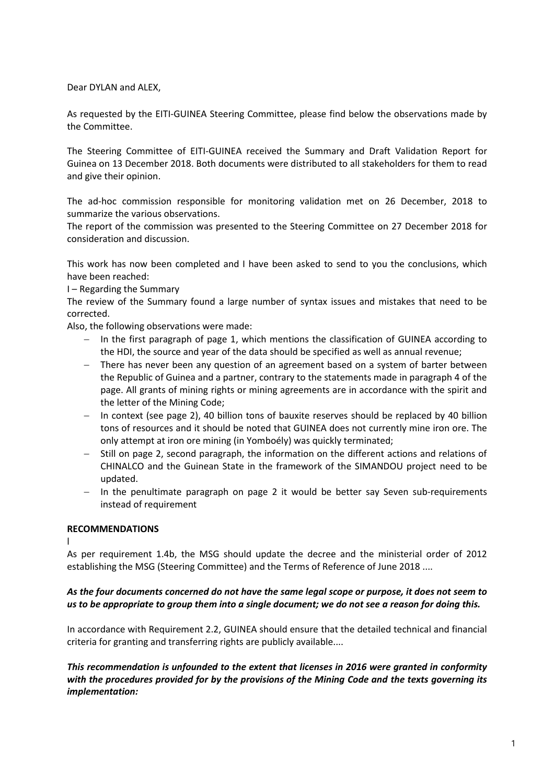Dear DYLAN and ALEX,

As requested by the EITI-GUINEA Steering Committee, please find below the observations made by the Committee.

The Steering Committee of EITI-GUINEA received the Summary and Draft Validation Report for Guinea on 13 December 2018. Both documents were distributed to all stakeholders for them to read and give their opinion.

The ad-hoc commission responsible for monitoring validation met on 26 December, 2018 to summarize the various observations.

The report of the commission was presented to the Steering Committee on 27 December 2018 for consideration and discussion.

This work has now been completed and I have been asked to send to you the conclusions, which have been reached:

I – Regarding the Summary

The review of the Summary found a large number of syntax issues and mistakes that need to be corrected.

Also, the following observations were made:

- In the first paragraph of page 1, which mentions the classification of GUINEA according to the HDI, the source and year of the data should be specified as well as annual revenue;
- − There has never been any question of an agreement based on a system of barter between the Republic of Guinea and a partner, contrary to the statements made in paragraph 4 of the page. All grants of mining rights or mining agreements are in accordance with the spirit and the letter of the Mining Code;
- − In context (see page 2), 40 billion tons of bauxite reserves should be replaced by 40 billion tons of resources and it should be noted that GUINEA does not currently mine iron ore. The only attempt at iron ore mining (in Yomboély) was quickly terminated;
- − Still on page 2, second paragraph, the information on the different actions and relations of CHINALCO and the Guinean State in the framework of the SIMANDOU project need to be updated.
- − In the penultimate paragraph on page 2 it would be better say Seven sub-requirements instead of requirement

### **RECOMMENDATIONS**

l

As per requirement 1.4b, the MSG should update the decree and the ministerial order of 2012 establishing the MSG (Steering Committee) and the Terms of Reference of June 2018 ....

### *As the four documents concerned do not have the same legal scope or purpose, it does not seem to us to be appropriate to group them into a single document; we do not see a reason for doing this.*

In accordance with Requirement 2.2, GUINEA should ensure that the detailed technical and financial criteria for granting and transferring rights are publicly available....

*This recommendation is unfounded to the extent that licenses in 2016 were granted in conformity with the procedures provided for by the provisions of the Mining Code and the texts governing its implementation:*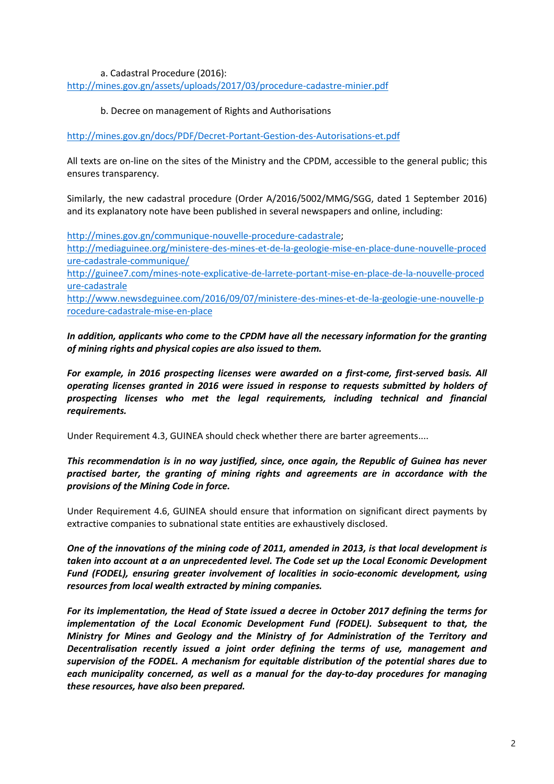### a. Cadastral Procedure (2016):

<http://mines.gov.gn/assets/uploads/2017/03/procedure-cadastre-minier.pdf>

#### b. Decree on management of Rights and Authorisations

<http://mines.gov.gn/docs/PDF/Decret-Portant-Gestion-des-Autorisations-et.pdf>

All texts are on-line on the sites of the Ministry and the CPDM, accessible to the general public; this ensures transparency.

Similarly, the new cadastral procedure (Order A/2016/5002/MMG/SGG, dated 1 September 2016) and its explanatory note have been published in several newspapers and online, including:

[http://mines.gov.gn/communique-nouvelle-procedure-cadastrale;](http://mines.gov.gn/communique-nouvelle-procedure-cadastrale) [http://mediaguinee.org/ministere-des-mines-et-de-la-geologie-mise-en-place-dune-nouvelle-proced](http://mediaguinee.org/ministere-des-mines-et-de-la-geologie-mise-en-place-dune-nouvelle-procedure-cadastrale-communique/) [ure-cadastrale-communique/](http://mediaguinee.org/ministere-des-mines-et-de-la-geologie-mise-en-place-dune-nouvelle-procedure-cadastrale-communique/) [http://guinee7.com/mines-note-explicative-de-larrete-portant-mise-en-place-de-la-nouvelle-proced](http://guinee7.com/mines-note-explicative-de-larrete-portant-mise-en-place-de-la-nouvelle-procedure-cadastrale) [ure-cadastrale](http://guinee7.com/mines-note-explicative-de-larrete-portant-mise-en-place-de-la-nouvelle-procedure-cadastrale) [http://www.newsdeguinee.com/2016/09/07/ministere-des-mines-et-de-la-geologie-une-nouvelle-p](http://www.newsdeguinee.com/2016/09/07/ministere-des-mines-et-de-la-geologie-une-nouvelle-procedure-cadastrale-mise-en-place) [rocedure-cadastrale-mise-en-place](http://www.newsdeguinee.com/2016/09/07/ministere-des-mines-et-de-la-geologie-une-nouvelle-procedure-cadastrale-mise-en-place)

*In addition, applicants who come to the CPDM have all the necessary information for the granting of mining rights and physical copies are also issued to them.*

*For example, in 2016 prospecting licenses were awarded on a first-come, first-served basis. All operating licenses granted in 2016 were issued in response to requests submitted by holders of prospecting licenses who met the legal requirements, including technical and financial requirements.*

Under Requirement 4.3, GUINEA should check whether there are barter agreements....

*This recommendation is in no way justified, since, once again, the Republic of Guinea has never practised barter, the granting of mining rights and agreements are in accordance with the provisions of the Mining Code in force.*

Under Requirement 4.6, GUINEA should ensure that information on significant direct payments by extractive companies to subnational state entities are exhaustively disclosed.

*One of the innovations of the mining code of 2011, amended in 2013, is that local development is taken into account at a an unprecedented level. The Code set up the Local Economic Development Fund (FODEL), ensuring greater involvement of localities in socio-economic development, using resources from local wealth extracted by mining companies.*

*For its implementation, the Head of State issued a decree in October 2017 defining the terms for implementation of the Local Economic Development Fund (FODEL). Subsequent to that, the Ministry for Mines and Geology and the Ministry of for Administration of the Territory and Decentralisation recently issued a joint order defining the terms of use, management and supervision of the FODEL. A mechanism for equitable distribution of the potential shares due to each municipality concerned, as well as a manual for the day-to-day procedures for managing these resources, have also been prepared.*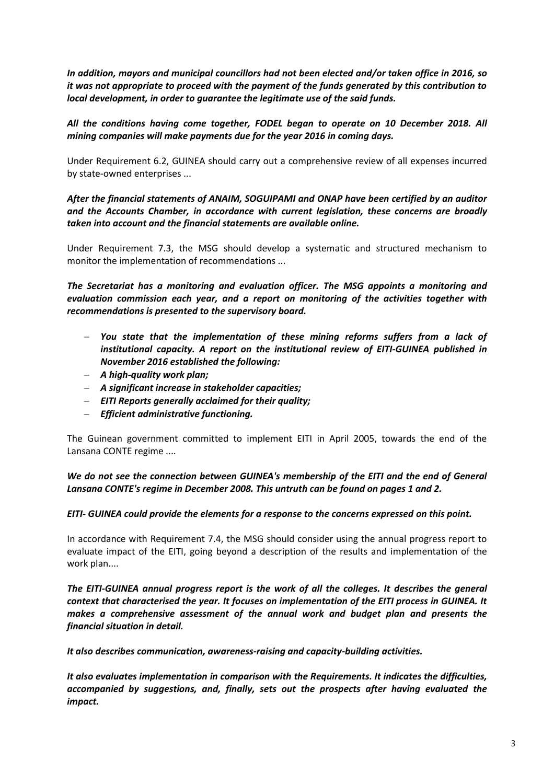*In addition, mayors and municipal councillors had not been elected and/or taken office in 2016, so it was not appropriate to proceed with the payment of the funds generated by this contribution to local development, in order to guarantee the legitimate use of the said funds.*

*All the conditions having come together, FODEL began to operate on 10 December 2018. All mining companies will make payments due for the year 2016 in coming days.*

Under Requirement 6.2, GUINEA should carry out a comprehensive review of all expenses incurred by state-owned enterprises ...

*After the financial statements of ANAIM, SOGUIPAMI and ONAP have been certified by an auditor and the Accounts Chamber, in accordance with current legislation, these concerns are broadly taken into account and the financial statements are available online.*

Under Requirement 7.3, the MSG should develop a systematic and structured mechanism to monitor the implementation of recommendations ...

*The Secretariat has a monitoring and evaluation officer. The MSG appoints a monitoring and evaluation commission each year, and a report on monitoring of the activities together with recommendations is presented to the supervisory board.*

- − *You state that the implementation of these mining reforms suffers from a lack of institutional capacity. A report on the institutional review of EITI-GUINEA published in November 2016 established the following:*
- − *A high-quality work plan;*
- − *A significant increase in stakeholder capacities;*
- − *EITI Reports generally acclaimed for their quality;*
- − *Efficient administrative functioning.*

The Guinean government committed to implement EITI in April 2005, towards the end of the Lansana CONTE regime ....

*We do not see the connection between GUINEA's membership of the EITI and the end of General Lansana CONTE's regime in December 2008. This untruth can be found on pages 1 and 2.*

### *EITI- GUINEA could provide the elements for a response to the concerns expressed on this point.*

In accordance with Requirement 7.4, the MSG should consider using the annual progress report to evaluate impact of the EITI, going beyond a description of the results and implementation of the work plan....

*The EITI-GUINEA annual progress report is the work of all the colleges. It describes the general context that characterised the year. It focuses on implementation of the EITI process in GUINEA. It makes a comprehensive assessment of the annual work and budget plan and presents the financial situation in detail.*

*It also describes communication, awareness-raising and capacity-building activities.*

*It also evaluates implementation in comparison with the Requirements. It indicates the difficulties, accompanied by suggestions, and, finally, sets out the prospects after having evaluated the impact.*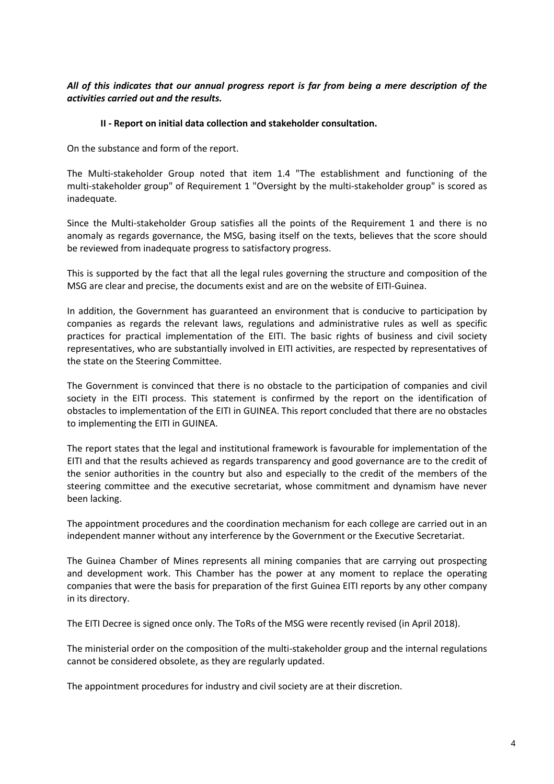# *All of this indicates that our annual progress report is far from being a mere description of the activities carried out and the results.*

### **II - Report on initial data collection and stakeholder consultation.**

On the substance and form of the report.

The Multi-stakeholder Group noted that item 1.4 "The establishment and functioning of the multi-stakeholder group" of Requirement 1 "Oversight by the multi-stakeholder group" is scored as inadequate.

Since the Multi-stakeholder Group satisfies all the points of the Requirement 1 and there is no anomaly as regards governance, the MSG, basing itself on the texts, believes that the score should be reviewed from inadequate progress to satisfactory progress.

This is supported by the fact that all the legal rules governing the structure and composition of the MSG are clear and precise, the documents exist and are on the website of EITI-Guinea.

In addition, the Government has guaranteed an environment that is conducive to participation by companies as regards the relevant laws, regulations and administrative rules as well as specific practices for practical implementation of the EITI. The basic rights of business and civil society representatives, who are substantially involved in EITI activities, are respected by representatives of the state on the Steering Committee.

The Government is convinced that there is no obstacle to the participation of companies and civil society in the EITI process. This statement is confirmed by the report on the identification of obstacles to implementation of the EITI in GUINEA. This report concluded that there are no obstacles to implementing the EITI in GUINEA.

The report states that the legal and institutional framework is favourable for implementation of the EITI and that the results achieved as regards transparency and good governance are to the credit of the senior authorities in the country but also and especially to the credit of the members of the steering committee and the executive secretariat, whose commitment and dynamism have never been lacking.

The appointment procedures and the coordination mechanism for each college are carried out in an independent manner without any interference by the Government or the Executive Secretariat.

The Guinea Chamber of Mines represents all mining companies that are carrying out prospecting and development work. This Chamber has the power at any moment to replace the operating companies that were the basis for preparation of the first Guinea EITI reports by any other company in its directory.

The EITI Decree is signed once only. The ToRs of the MSG were recently revised (in April 2018).

The ministerial order on the composition of the multi-stakeholder group and the internal regulations cannot be considered obsolete, as they are regularly updated.

The appointment procedures for industry and civil society are at their discretion.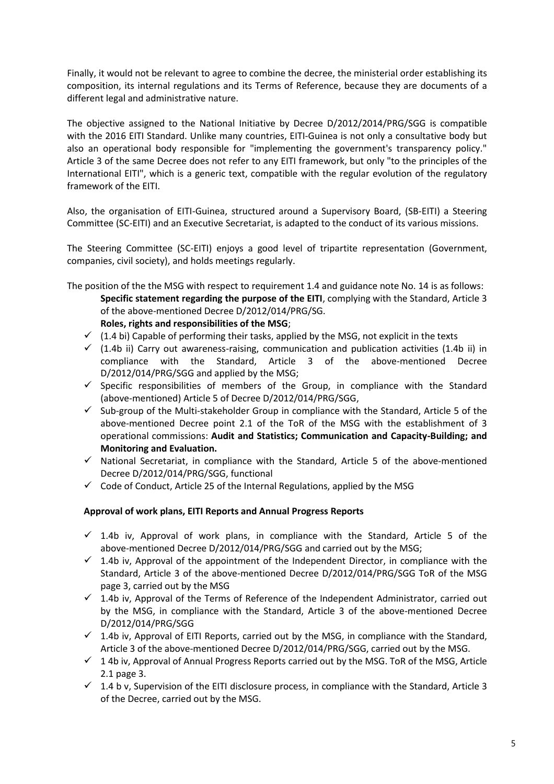Finally, it would not be relevant to agree to combine the decree, the ministerial order establishing its composition, its internal regulations and its Terms of Reference, because they are documents of a different legal and administrative nature.

The objective assigned to the National Initiative by Decree D/2012/2014/PRG/SGG is compatible with the 2016 EITI Standard. Unlike many countries, EITI-Guinea is not only a consultative body but also an operational body responsible for "implementing the government's transparency policy." Article 3 of the same Decree does not refer to any EITI framework, but only "to the principles of the International EITI", which is a generic text, compatible with the regular evolution of the regulatory framework of the EITI.

Also, the organisation of EITI-Guinea, structured around a Supervisory Board, (SB-EITI) a Steering Committee (SC-EITI) and an Executive Secretariat, is adapted to the conduct of its various missions.

The Steering Committee (SC-EITI) enjoys a good level of tripartite representation (Government, companies, civil society), and holds meetings regularly.

- The position of the the MSG with respect to requirement 1.4 and guidance note No. 14 is as follows: **Specific statement regarding the purpose of the EITI**, complying with the Standard, Article 3 of the above-mentioned Decree D/2012/014/PRG/SG. **Roles, rights and responsibilities of the MSG**;
	- $\checkmark$  (1.4 bi) Capable of performing their tasks, applied by the MSG, not explicit in the texts
	- $\checkmark$  (1.4b ii) Carry out awareness-raising, communication and publication activities (1.4b ii) in compliance with the Standard, Article 3 of the above-mentioned Decree D/2012/014/PRG/SGG and applied by the MSG;
	- $\checkmark$  Specific responsibilities of members of the Group, in compliance with the Standard (above-mentioned) Article 5 of Decree D/2012/014/PRG/SGG,
	- $\checkmark$  Sub-group of the Multi-stakeholder Group in compliance with the Standard, Article 5 of the above-mentioned Decree point 2.1 of the ToR of the MSG with the establishment of 3 operational commissions: **Audit and Statistics; Communication and Capacity-Building; and Monitoring and Evaluation.**
	- $\checkmark$  National Secretariat, in compliance with the Standard, Article 5 of the above-mentioned Decree D/2012/014/PRG/SGG, functional
	- $\checkmark$  Code of Conduct, Article 25 of the Internal Regulations, applied by the MSG

# **Approval of work plans, EITI Reports and Annual Progress Reports**

- $\checkmark$  1.4b iv, Approval of work plans, in compliance with the Standard, Article 5 of the above-mentioned Decree D/2012/014/PRG/SGG and carried out by the MSG;
- $\checkmark$  1.4b iv, Approval of the appointment of the Independent Director, in compliance with the Standard, Article 3 of the above-mentioned Decree D/2012/014/PRG/SGG ToR of the MSG page 3, carried out by the MSG
- $\checkmark$  1.4b iv, Approval of the Terms of Reference of the Independent Administrator, carried out by the MSG, in compliance with the Standard, Article 3 of the above-mentioned Decree D/2012/014/PRG/SGG
- $\checkmark$  1.4b iv, Approval of EITI Reports, carried out by the MSG, in compliance with the Standard, Article 3 of the above-mentioned Decree D/2012/014/PRG/SGG, carried out by the MSG.
- $\checkmark$  14b iv, Approval of Annual Progress Reports carried out by the MSG. ToR of the MSG, Article 2.1 page 3.
- $\checkmark$  1.4 b v, Supervision of the EITI disclosure process, in compliance with the Standard, Article 3 of the Decree, carried out by the MSG.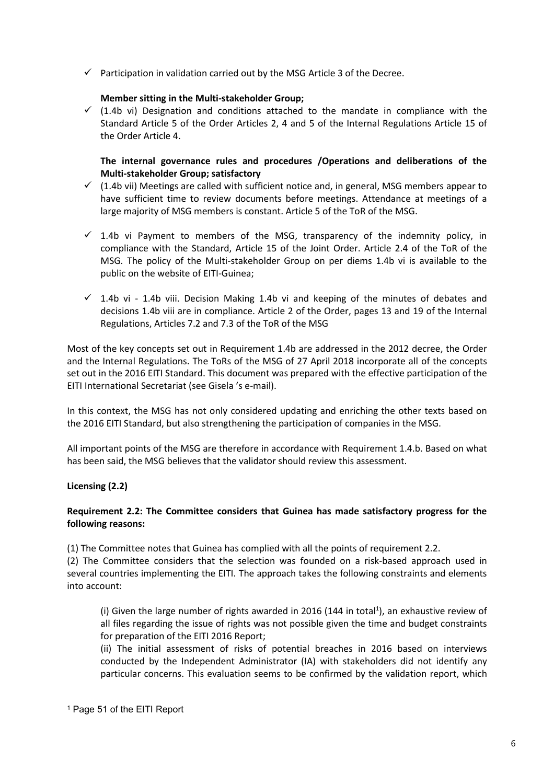$\checkmark$  Participation in validation carried out by the MSG Article 3 of the Decree.

### **Member sitting in the Multi-stakeholder Group;**

 $\checkmark$  (1.4b vi) Designation and conditions attached to the mandate in compliance with the Standard Article 5 of the Order Articles 2, 4 and 5 of the Internal Regulations Article 15 of the Order Article 4.

**The internal governance rules and procedures /Operations and deliberations of the Multi-stakeholder Group; satisfactory**

- $\checkmark$  (1.4b vii) Meetings are called with sufficient notice and, in general, MSG members appear to have sufficient time to review documents before meetings. Attendance at meetings of a large majority of MSG members is constant. Article 5 of the ToR of the MSG.
- $\checkmark$  1.4b vi Payment to members of the MSG, transparency of the indemnity policy, in compliance with the Standard, Article 15 of the Joint Order. Article 2.4 of the ToR of the MSG. The policy of the Multi-stakeholder Group on per diems 1.4b vi is available to the public on the website of EITI-Guinea;
- $\checkmark$  1.4b vi 1.4b viii. Decision Making 1.4b vi and keeping of the minutes of debates and decisions 1.4b viii are in compliance. Article 2 of the Order, pages 13 and 19 of the Internal Regulations, Articles 7.2 and 7.3 of the ToR of the MSG

Most of the key concepts set out in Requirement 1.4b are addressed in the 2012 decree, the Order and the Internal Regulations. The ToRs of the MSG of 27 April 2018 incorporate all of the concepts set out in the 2016 EITI Standard. This document was prepared with the effective participation of the EITI International Secretariat (see Gisela 's e-mail).

In this context, the MSG has not only considered updating and enriching the other texts based on the 2016 EITI Standard, but also strengthening the participation of companies in the MSG.

All important points of the MSG are therefore in accordance with Requirement 1.4.b. Based on what has been said, the MSG believes that the validator should review this assessment.

# **Licensing (2.2)**

### **Requirement 2.2: The Committee considers that Guinea has made satisfactory progress for the following reasons:**

(1) The Committee notes that Guinea has complied with all the points of requirement 2.2.

(2) The Committee considers that the selection was founded on a risk-based approach used in several countries implementing the EITI. The approach takes the following constraints and elements into account:

(i) Given the large number of rights awarded in 2016 (144 in total<sup>1</sup>), an exhaustive review of all files regarding the issue of rights was not possible given the time and budget constraints for preparation of the EITI 2016 Report;

(ii) The initial assessment of risks of potential breaches in 2016 based on interviews conducted by the Independent Administrator (IA) with stakeholders did not identify any particular concerns. This evaluation seems to be confirmed by the validation report, which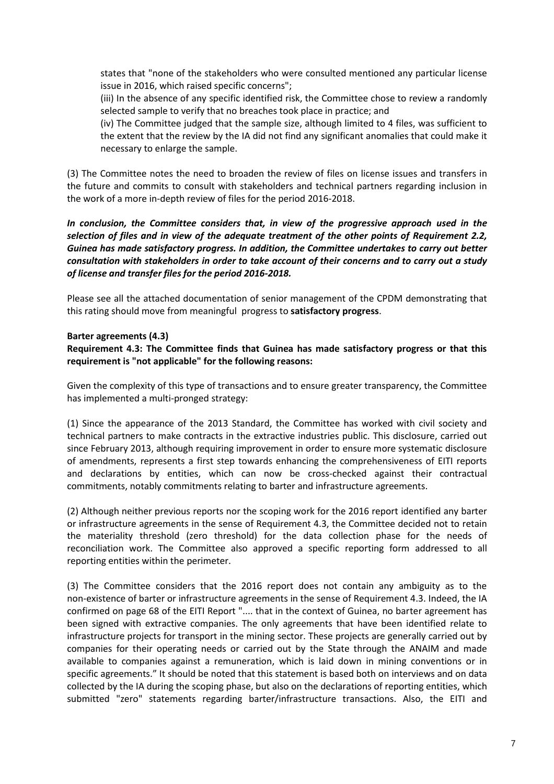states that "none of the stakeholders who were consulted mentioned any particular license issue in 2016, which raised specific concerns";

(iii) In the absence of any specific identified risk, the Committee chose to review a randomly selected sample to verify that no breaches took place in practice; and

(iv) The Committee judged that the sample size, although limited to 4 files, was sufficient to the extent that the review by the IA did not find any significant anomalies that could make it necessary to enlarge the sample.

(3) The Committee notes the need to broaden the review of files on license issues and transfers in the future and commits to consult with stakeholders and technical partners regarding inclusion in the work of a more in-depth review of files for the period 2016-2018.

## *In conclusion, the Committee considers that, in view of the progressive approach used in the selection of files and in view of the adequate treatment of the other points of Requirement 2.2, Guinea has made satisfactory progress. In addition, the Committee undertakes to carry out better consultation with stakeholders in order to take account of their concerns and to carry out a study of license and transfer files for the period 2016-2018.*

Please see all the attached documentation of senior management of the CPDM demonstrating that this rating should move from meaningful progress to **satisfactory progress**.

# **Barter agreements (4.3)**

**Requirement 4.3: The Committee finds that Guinea has made satisfactory progress or that this requirement is "not applicable" for the following reasons:**

Given the complexity of this type of transactions and to ensure greater transparency, the Committee has implemented a multi-pronged strategy:

(1) Since the appearance of the 2013 Standard, the Committee has worked with civil society and technical partners to make contracts in the extractive industries public. This disclosure, carried out since February 2013, although requiring improvement in order to ensure more systematic disclosure of amendments, represents a first step towards enhancing the comprehensiveness of EITI reports and declarations by entities, which can now be cross-checked against their contractual commitments, notably commitments relating to barter and infrastructure agreements.

(2) Although neither previous reports nor the scoping work for the 2016 report identified any barter or infrastructure agreements in the sense of Requirement 4.3, the Committee decided not to retain the materiality threshold (zero threshold) for the data collection phase for the needs of reconciliation work. The Committee also approved a specific reporting form addressed to all reporting entities within the perimeter.

(3) The Committee considers that the 2016 report does not contain any ambiguity as to the non-existence of barter or infrastructure agreements in the sense of Requirement 4.3. Indeed, the IA confirmed on page 68 of the EITI Report ".... that in the context of Guinea, no barter agreement has been signed with extractive companies. The only agreements that have been identified relate to infrastructure projects for transport in the mining sector. These projects are generally carried out by companies for their operating needs or carried out by the State through the ANAIM and made available to companies against a remuneration, which is laid down in mining conventions or in specific agreements." It should be noted that this statement is based both on interviews and on data collected by the IA during the scoping phase, but also on the declarations of reporting entities, which submitted "zero" statements regarding barter/infrastructure transactions. Also, the EITI and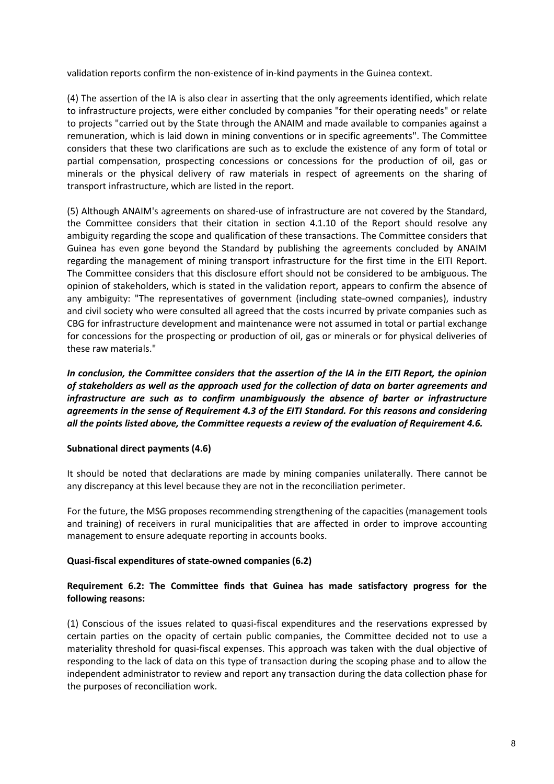validation reports confirm the non-existence of in-kind payments in the Guinea context.

(4) The assertion of the IA is also clear in asserting that the only agreements identified, which relate to infrastructure projects, were either concluded by companies "for their operating needs" or relate to projects "carried out by the State through the ANAIM and made available to companies against a remuneration, which is laid down in mining conventions or in specific agreements". The Committee considers that these two clarifications are such as to exclude the existence of any form of total or partial compensation, prospecting concessions or concessions for the production of oil, gas or minerals or the physical delivery of raw materials in respect of agreements on the sharing of transport infrastructure, which are listed in the report.

(5) Although ANAIM's agreements on shared-use of infrastructure are not covered by the Standard, the Committee considers that their citation in section 4.1.10 of the Report should resolve any ambiguity regarding the scope and qualification of these transactions. The Committee considers that Guinea has even gone beyond the Standard by publishing the agreements concluded by ANAIM regarding the management of mining transport infrastructure for the first time in the EITI Report. The Committee considers that this disclosure effort should not be considered to be ambiguous. The opinion of stakeholders, which is stated in the validation report, appears to confirm the absence of any ambiguity: "The representatives of government (including state-owned companies), industry and civil society who were consulted all agreed that the costs incurred by private companies such as CBG for infrastructure development and maintenance were not assumed in total or partial exchange for concessions for the prospecting or production of oil, gas or minerals or for physical deliveries of these raw materials."

*In conclusion, the Committee considers that the assertion of the IA in the EITI Report, the opinion of stakeholders as well as the approach used for the collection of data on barter agreements and infrastructure are such as to confirm unambiguously the absence of barter or infrastructure agreements in the sense of Requirement 4.3 of the EITI Standard. For this reasons and considering all the points listed above, the Committee requests a review of the evaluation of Requirement 4.6.*

# **Subnational direct payments (4.6)**

It should be noted that declarations are made by mining companies unilaterally. There cannot be any discrepancy at this level because they are not in the reconciliation perimeter.

For the future, the MSG proposes recommending strengthening of the capacities (management tools and training) of receivers in rural municipalities that are affected in order to improve accounting management to ensure adequate reporting in accounts books.

### **Quasi-fiscal expenditures of state-owned companies (6.2)**

# **Requirement 6.2: The Committee finds that Guinea has made satisfactory progress for the following reasons:**

(1) Conscious of the issues related to quasi-fiscal expenditures and the reservations expressed by certain parties on the opacity of certain public companies, the Committee decided not to use a materiality threshold for quasi-fiscal expenses. This approach was taken with the dual objective of responding to the lack of data on this type of transaction during the scoping phase and to allow the independent administrator to review and report any transaction during the data collection phase for the purposes of reconciliation work.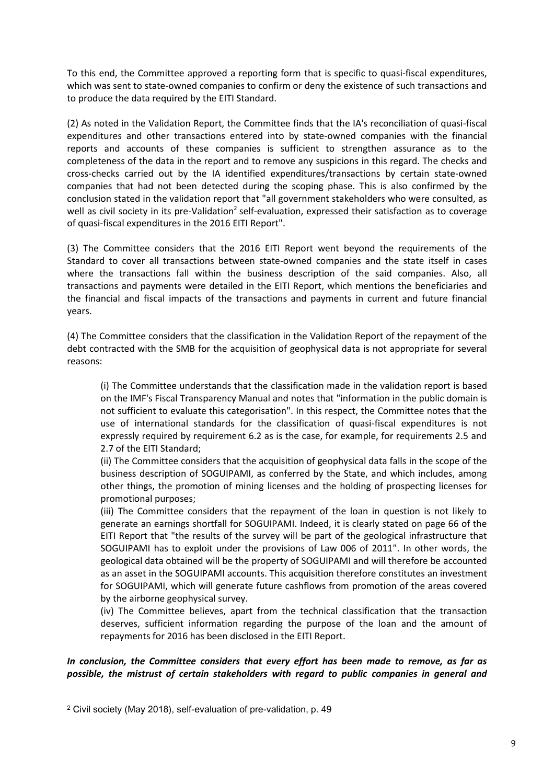To this end, the Committee approved a reporting form that is specific to quasi-fiscal expenditures, which was sent to state-owned companies to confirm or deny the existence of such transactions and to produce the data required by the EITI Standard.

(2) As noted in the Validation Report, the Committee finds that the IA's reconciliation of quasi-fiscal expenditures and other transactions entered into by state-owned companies with the financial reports and accounts of these companies is sufficient to strengthen assurance as to the completeness of the data in the report and to remove any suspicions in this regard. The checks and cross-checks carried out by the IA identified expenditures/transactions by certain state-owned companies that had not been detected during the scoping phase. This is also confirmed by the conclusion stated in the validation report that "all government stakeholders who were consulted, as well as civil society in its pre-Validation<sup>2</sup> self-evaluation, expressed their satisfaction as to coverage of quasi-fiscal expenditures in the 2016 EITI Report".

(3) The Committee considers that the 2016 EITI Report went beyond the requirements of the Standard to cover all transactions between state-owned companies and the state itself in cases where the transactions fall within the business description of the said companies. Also, all transactions and payments were detailed in the EITI Report, which mentions the beneficiaries and the financial and fiscal impacts of the transactions and payments in current and future financial years.

(4) The Committee considers that the classification in the Validation Report of the repayment of the debt contracted with the SMB for the acquisition of geophysical data is not appropriate for several reasons:

(i) The Committee understands that the classification made in the validation report is based on the IMF's Fiscal Transparency Manual and notes that "information in the public domain is not sufficient to evaluate this categorisation". In this respect, the Committee notes that the use of international standards for the classification of quasi-fiscal expenditures is not expressly required by requirement 6.2 as is the case, for example, for requirements 2.5 and 2.7 of the EITI Standard;

(ii) The Committee considers that the acquisition of geophysical data falls in the scope of the business description of SOGUIPAMI, as conferred by the State, and which includes, among other things, the promotion of mining licenses and the holding of prospecting licenses for promotional purposes;

(iii) The Committee considers that the repayment of the loan in question is not likely to generate an earnings shortfall for SOGUIPAMI. Indeed, it is clearly stated on page 66 of the EITI Report that "the results of the survey will be part of the geological infrastructure that SOGUIPAMI has to exploit under the provisions of Law 006 of 2011". In other words, the geological data obtained will be the property of SOGUIPAMI and will therefore be accounted as an asset in the SOGUIPAMI accounts. This acquisition therefore constitutes an investment for SOGUIPAMI, which will generate future cashflows from promotion of the areas covered by the airborne geophysical survey.

(iv) The Committee believes, apart from the technical classification that the transaction deserves, sufficient information regarding the purpose of the loan and the amount of repayments for 2016 has been disclosed in the EITI Report.

# *In conclusion, the Committee considers that every effort has been made to remove, as far as possible, the mistrust of certain stakeholders with regard to public companies in general and*

<sup>2</sup> Civil society (May 2018), self-evaluation of pre-validation, p. 49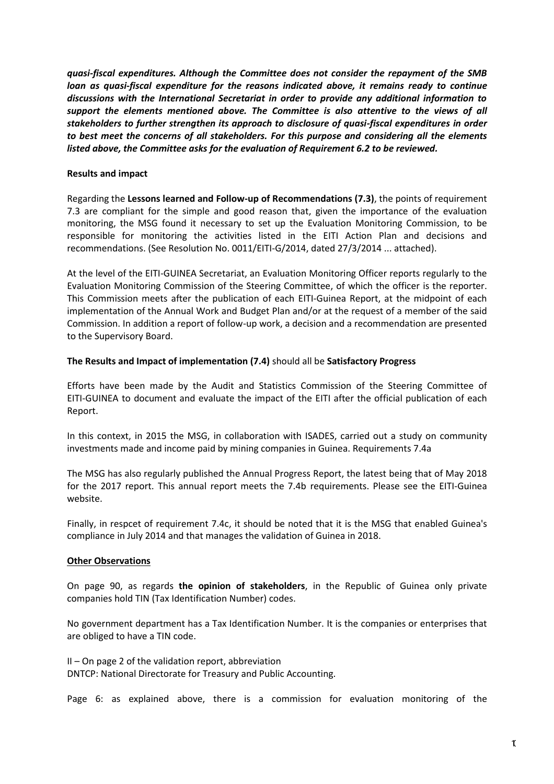*quasi-fiscal expenditures. Although the Committee does not consider the repayment of the SMB loan as quasi-fiscal expenditure for the reasons indicated above, it remains ready to continue discussions with the International Secretariat in order to provide any additional information to support the elements mentioned above. The Committee is also attentive to the views of all stakeholders to further strengthen its approach to disclosure of quasi-fiscal expenditures in order to best meet the concerns of all stakeholders. For this purpose and considering all the elements listed above, the Committee asks for the evaluation of Requirement 6.2 to be reviewed.*

### **Results and impact**

Regarding the **Lessons learned and Follow-up of Recommendations (7.3)**, the points of requirement 7.3 are compliant for the simple and good reason that, given the importance of the evaluation monitoring, the MSG found it necessary to set up the Evaluation Monitoring Commission, to be responsible for monitoring the activities listed in the EITI Action Plan and decisions and recommendations. (See Resolution No. 0011/EITI-G/2014, dated 27/3/2014 ... attached).

At the level of the EITI-GUINEA Secretariat, an Evaluation Monitoring Officer reports regularly to the Evaluation Monitoring Commission of the Steering Committee, of which the officer is the reporter. This Commission meets after the publication of each EITI-Guinea Report, at the midpoint of each implementation of the Annual Work and Budget Plan and/or at the request of a member of the said Commission. In addition a report of follow-up work, a decision and a recommendation are presented to the Supervisory Board.

### **The Results and Impact of implementation (7.4)** should all be **Satisfactory Progress**

Efforts have been made by the Audit and Statistics Commission of the Steering Committee of EITI-GUINEA to document and evaluate the impact of the EITI after the official publication of each Report.

In this context, in 2015 the MSG, in collaboration with ISADES, carried out a study on community investments made and income paid by mining companies in Guinea. Requirements 7.4a

The MSG has also regularly published the Annual Progress Report, the latest being that of May 2018 for the 2017 report. This annual report meets the 7.4b requirements. Please see the EITI-Guinea website.

Finally, in respcet of requirement 7.4c, it should be noted that it is the MSG that enabled Guinea's compliance in July 2014 and that manages the validation of Guinea in 2018.

# **Other Observations**

On page 90, as regards **the opinion of stakeholders**, in the Republic of Guinea only private companies hold TIN (Tax Identification Number) codes.

No government department has a Tax Identification Number. It is the companies or enterprises that are obliged to have a TIN code.

II – On page 2 of the validation report, abbreviation DNTCP: National Directorate for Treasury and Public Accounting.

Page 6: as explained above, there is a commission for evaluation monitoring of the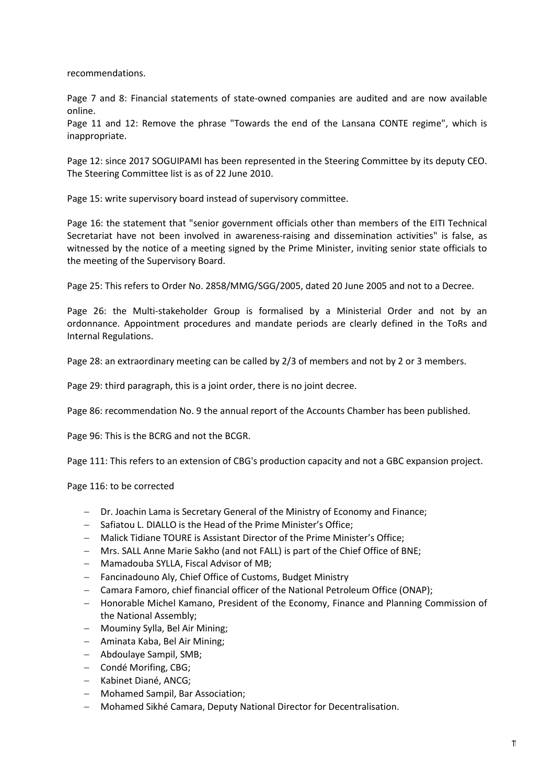recommendations.

Page 7 and 8: Financial statements of state-owned companies are audited and are now available online.

Page 11 and 12: Remove the phrase "Towards the end of the Lansana CONTE regime", which is inappropriate.

Page 12: since 2017 SOGUIPAMI has been represented in the Steering Committee by its deputy CEO. The Steering Committee list is as of 22 June 2010.

Page 15: write supervisory board instead of supervisory committee.

Page 16: the statement that "senior government officials other than members of the EITI Technical Secretariat have not been involved in awareness-raising and dissemination activities" is false, as witnessed by the notice of a meeting signed by the Prime Minister, inviting senior state officials to the meeting of the Supervisory Board.

Page 25: This refers to Order No. 2858/MMG/SGG/2005, dated 20 June 2005 and not to a Decree.

Page 26: the Multi-stakeholder Group is formalised by a Ministerial Order and not by an ordonnance. Appointment procedures and mandate periods are clearly defined in the ToRs and Internal Regulations.

Page 28: an extraordinary meeting can be called by 2/3 of members and not by 2 or 3 members.

Page 29: third paragraph, this is a joint order, there is no joint decree.

Page 86: recommendation No. 9 the annual report of the Accounts Chamber has been published.

Page 96: This is the BCRG and not the BCGR.

Page 111: This refers to an extension of CBG's production capacity and not a GBC expansion project.

Page 116: to be corrected

- − Dr. Joachin Lama is Secretary General of the Ministry of Economy and Finance;
- − Safiatou L. DIALLO is the Head of the Prime Minister's Office;
- − Malick Tidiane TOURE is Assistant Director of the Prime Minister's Office;
- − Mrs. SALL Anne Marie Sakho (and not FALL) is part of the Chief Office of BNE;
- − Mamadouba SYLLA, Fiscal Advisor of MB;
- − Fancinadouno Aly, Chief Office of Customs, Budget Ministry
- − Camara Famoro, chief financial officer of the National Petroleum Office (ONAP);
- − Honorable Michel Kamano, President of the Economy, Finance and Planning Commission of the National Assembly;
- − Mouminy Sylla, Bel Air Mining;
- − Aminata Kaba, Bel Air Mining;
- − Abdoulaye Sampil, SMB;
- − Condé Morifing, CBG;
- − Kabinet Diané, ANCG;
- − Mohamed Sampil, Bar Association;
- − Mohamed Sikhé Camara, Deputy National Director for Decentralisation.